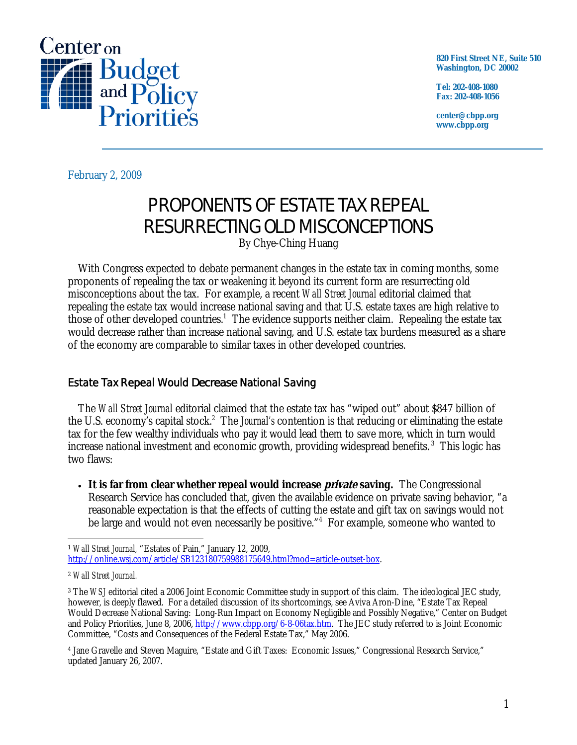

**820 First Street NE, Suite 510 Washington, DC 20002** 

**Tel: 202-408-1080 Fax: 202-408-1056** 

**center@cbpp.org www.cbpp.org** 

February 2, 2009

## PROPONENTS OF ESTATE TAX REPEAL RESURRECTING OLD MISCONCEPTIONS

By Chye-Ching Huang

 With Congress expected to debate permanent changes in the estate tax in coming months, some proponents of repealing the tax or weakening it beyond its current form are resurrecting old misconceptions about the tax. For example, a recent *Wall Street Journal* editorial claimed that repealing the estate tax would increase national saving and that U.S. estate taxes are high relative to those of other developed countries.<sup>1</sup> The evidence supports neither claim. Repealing the estate tax would decrease rather than increase national saving, and U.S. estate tax burdens measured as a share of the economy are comparable to similar taxes in other developed countries.

## Estate Tax Repeal Would *Decrease* National Saving

 The *Wall Street Journal* editorial claimed that the estate tax has "wiped out" about \$847 billion of the U.S. economy's capital stock.<sup>2</sup> The *Journal's* contention is that reducing or eliminating the estate tax for the few wealthy individuals who pay it would lead them to save more, which in turn would increase national investment and economic growth, providing widespread benefits. 3 This logic has two flaws:

• It is far from clear whether repeal would increase *private* saving. The Congressional Research Service has concluded that, given the available evidence on private saving behavior, "a reasonable expectation is that the effects of cutting the estate and gift tax on savings would not be large and would not even necessarily be positive."<sup>4</sup> For example, someone who wanted to

<sup>-</sup><sup>1</sup> *Wall Street Journal,* "Estates of Pain," January 12, 2009, http://online.wsj.com/article/SB123180759988175649.html?mod=article-outset-box.

<sup>2</sup> *Wall Street Journal.*

<sup>&</sup>lt;sup>3</sup> The *WSJ* editorial cited a 2006 Joint Economic Committee study in support of this claim. The ideological JEC study, however, is deeply flawed. For a detailed discussion of its shortcomings, see Aviva Aron-Dine, "Estate Tax Repeal Would Decrease National Saving: Long-Run Impact on Economy Negligible and Possibly Negative," Center on Budget and Policy Priorities, June 8, 2006, http://www.cbpp.org/6-8-06tax.htm. The JEC study referred to is Joint Economic Committee, "Costs and Consequences of the Federal Estate Tax," May 2006.

<sup>4</sup> Jane Gravelle and Steven Maguire, "Estate and Gift Taxes: Economic Issues," Congressional Research Service," updated January 26, 2007.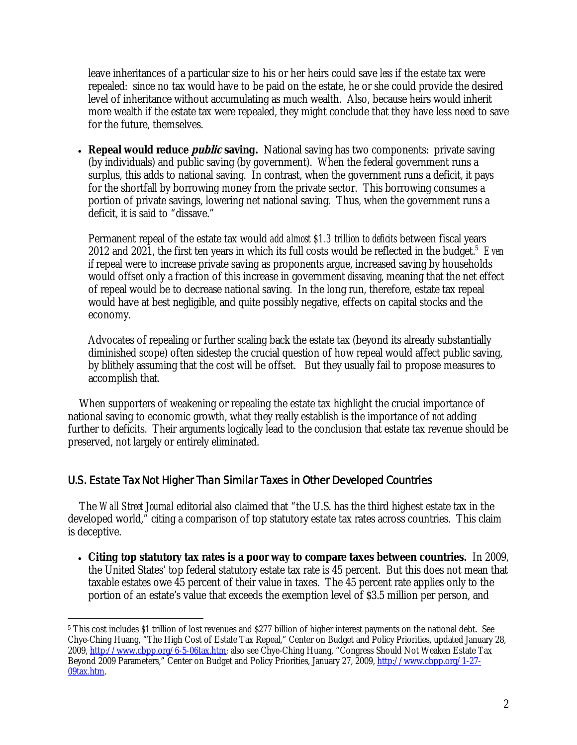leave inheritances of a particular size to his or her heirs could save *less* if the estate tax were repealed: since no tax would have to be paid on the estate, he or she could provide the desired level of inheritance without accumulating as much wealth. Also, because heirs would inherit more wealth if the estate tax were repealed, they might conclude that they have less need to save for the future, themselves.

• **Repeal would reduce** *public* **saving.** National saving has two components: private saving (by individuals) and public saving (by government). When the federal government runs a surplus, this adds to national saving. In contrast, when the government runs a deficit, it pays for the shortfall by borrowing money from the private sector. This borrowing consumes a portion of private savings, lowering net national saving. Thus, when the government runs a deficit, it is said to "dissave."

Permanent repeal of the estate tax would *add almost \$1.3 trillion to deficits* between fiscal years 2012 and 2021, the first ten years in which its full costs would be reflected in the budget.<sup>5</sup> Even *if* repeal were to increase private saving as proponents argue, increased saving by households would offset only a fraction of this increase in government *dissaving*, meaning that the net effect of repeal would be to decrease national saving. In the long run, therefore, estate tax repeal would have at best negligible, and quite possibly negative, effects on capital stocks and the economy.

Advocates of repealing or further scaling back the estate tax (beyond its already substantially diminished scope) often sidestep the crucial question of how repeal would affect public saving, by blithely assuming that the cost will be offset. But they usually fail to propose measures to accomplish that.

When supporters of weakening or repealing the estate tax highlight the crucial importance of national saving to economic growth, what they really establish is the importance of *not* adding further to deficits. Their arguments logically lead to the conclusion that estate tax revenue should be preserved, not largely or entirely eliminated.

## U.S. Estate Tax Not Higher Than Similar Taxes in Other Developed Countries

The *Wall Street Journal* editorial also claimed that "the U.S. has the third highest estate tax in the developed world," citing a comparison of top statutory estate tax rates across countries. This claim is deceptive.

• **Citing top statutory tax rates is a poor way to compare taxes between countries.** In 2009, the United States' top federal statutory estate tax rate is 45 percent. But this does not mean that taxable estates owe 45 percent of their value in taxes. The 45 percent rate applies only to the portion of an estate's value that exceeds the exemption level of \$3.5 million per person, and

 $\overline{a}$ 5 This cost includes \$1 trillion of lost revenues and \$277 billion of higher interest payments on the national debt. See Chye-Ching Huang, "The High Cost of Estate Tax Repeal," Center on Budget and Policy Priorities, updated January 28, 2009, <u>http://www.cbpp.org/6-5-06tax.htm</u>; also see Chye-Ching Huang, "Congress Should Not Weaken Estate Tax Beyond 2009 Parameters," Center on Budget and Policy Priorities, January 27, 2009, <u>http://www.cbpp.org/1-27-</u> 09tax.htm.